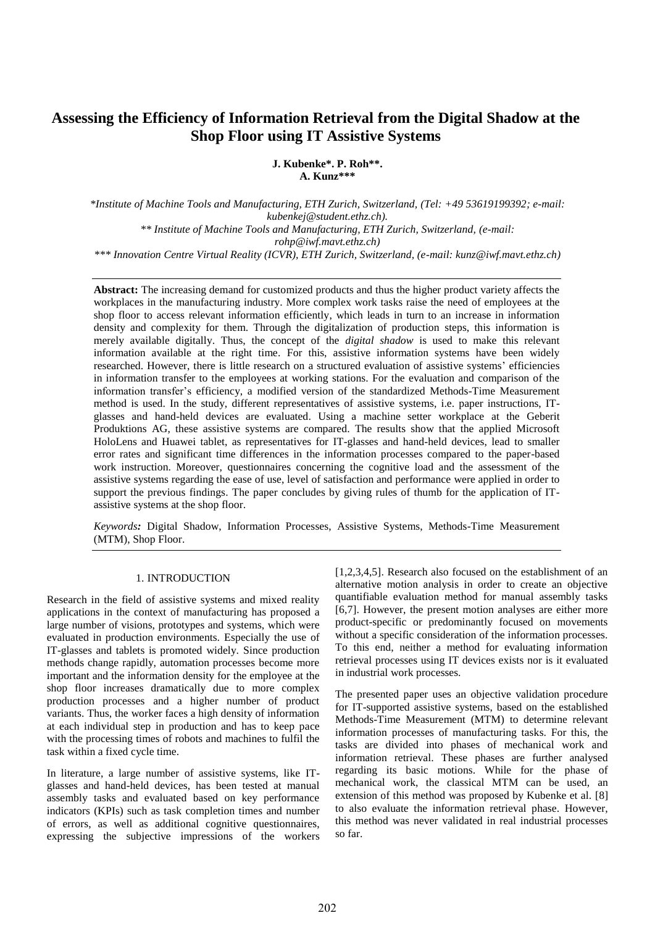# **Assessing the Efficiency of Information Retrieval from the Digital Shadow at the Shop Floor using IT Assistive Systems**

**J. Kubenke\*. P. Roh\*\*. A. Kunz\*\*\***

*\*Institute of Machine Tools and Manufacturing, ETH Zurich, Switzerland, (Tel: +49 53619199392; e-mail: kubenkej@student.ethz.ch). \*\* Institute of Machine Tools and Manufacturing, ETH Zurich, Switzerland, (e-mail: rohp@iwf.mavt.ethz.ch)*

*\*\*\* Innovation Centre Virtual Reality (ICVR), ETH Zurich, Switzerland, (e-mail: kunz@iwf.mavt.ethz.ch)*

**Abstract:** The increasing demand for customized products and thus the higher product variety affects the workplaces in the manufacturing industry. More complex work tasks raise the need of employees at the shop floor to access relevant information efficiently, which leads in turn to an increase in information density and complexity for them. Through the digitalization of production steps, this information is merely available digitally. Thus, the concept of the *digital shadow* is used to make this relevant information available at the right time. For this, assistive information systems have been widely researched. However, there is little research on a structured evaluation of assistive systems' efficiencies in information transfer to the employees at working stations. For the evaluation and comparison of the information transfer's efficiency, a modified version of the standardized Methods-Time Measurement method is used. In the study, different representatives of assistive systems, i.e. paper instructions, ITglasses and hand-held devices are evaluated. Using a machine setter workplace at the Geberit Produktions AG, these assistive systems are compared. The results show that the applied Microsoft HoloLens and Huawei tablet, as representatives for IT-glasses and hand-held devices, lead to smaller error rates and significant time differences in the information processes compared to the paper-based work instruction. Moreover, questionnaires concerning the cognitive load and the assessment of the assistive systems regarding the ease of use, level of satisfaction and performance were applied in order to support the previous findings. The paper concludes by giving rules of thumb for the application of ITassistive systems at the shop floor.

*Keywords:* Digital Shadow, Information Processes, Assistive Systems, Methods-Time Measurement (MTM), Shop Floor.

# 1. INTRODUCTION

Research in the field of assistive systems and mixed reality applications in the context of manufacturing has proposed a large number of visions, prototypes and systems, which were evaluated in production environments. Especially the use of IT-glasses and tablets is promoted widely. Since production methods change rapidly, automation processes become more important and the information density for the employee at the shop floor increases dramatically due to more complex production processes and a higher number of product variants. Thus, the worker faces a high density of information at each individual step in production and has to keep pace with the processing times of robots and machines to fulfil the task within a fixed cycle time.

In literature, a large number of assistive systems, like ITglasses and hand-held devices, has been tested at manual assembly tasks and evaluated based on key performance indicators (KPIs) such as task completion times and number of errors, as well as additional cognitive questionnaires, expressing the subjective impressions of the workers

[1,2,3,4,5]. Research also focused on the establishment of an alternative motion analysis in order to create an objective quantifiable evaluation method for manual assembly tasks [6,7]. However, the present motion analyses are either more product-specific or predominantly focused on movements without a specific consideration of the information processes. To this end, neither a method for evaluating information retrieval processes using IT devices exists nor is it evaluated in industrial work processes.

The presented paper uses an objective validation procedure for IT-supported assistive systems, based on the established Methods-Time Measurement (MTM) to determine relevant information processes of manufacturing tasks. For this, the tasks are divided into phases of mechanical work and information retrieval. These phases are further analysed regarding its basic motions. While for the phase of mechanical work, the classical MTM can be used, an extension of this method was proposed by Kubenke et al. [8] to also evaluate the information retrieval phase. However, this method was never validated in real industrial processes so far.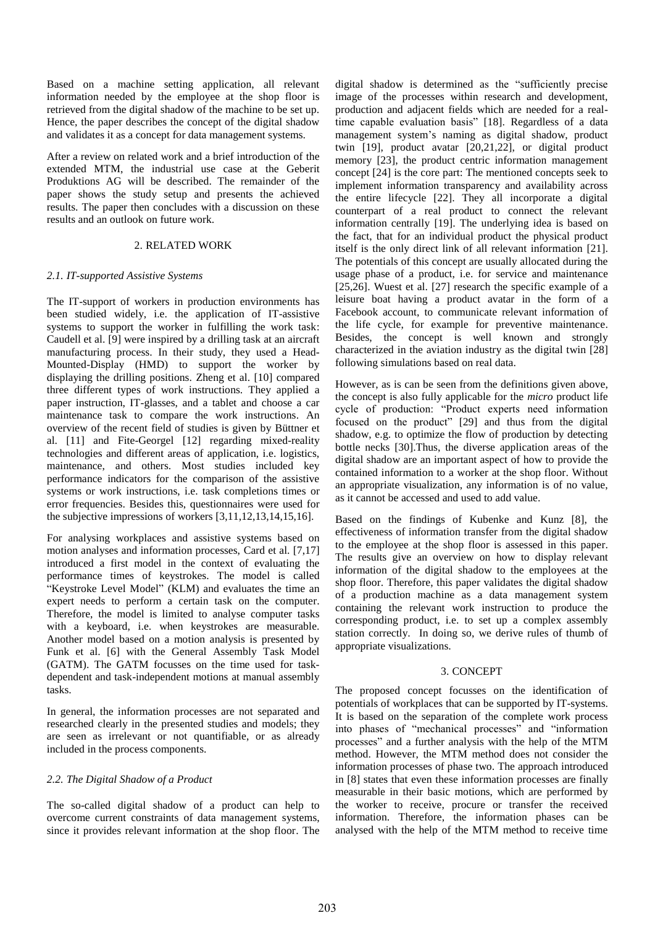Based on a machine setting application, all relevant information needed by the employee at the shop floor is retrieved from the digital shadow of the machine to be set up. Hence, the paper describes the concept of the digital shadow and validates it as a concept for data management systems.

After a review on related work and a brief introduction of the extended MTM, the industrial use case at the Geberit Produktions AG will be described. The remainder of the paper shows the study setup and presents the achieved results. The paper then concludes with a discussion on these results and an outlook on future work.

## 2. RELATED WORK

## *2.1. IT-supported Assistive Systems*

The IT-support of workers in production environments has been studied widely, i.e. the application of IT-assistive systems to support the worker in fulfilling the work task: Caudell et al. [9] were inspired by a drilling task at an aircraft manufacturing process. In their study, they used a Head-Mounted-Display (HMD) to support the worker by displaying the drilling positions. Zheng et al. [10] compared three different types of work instructions. They applied a paper instruction, IT-glasses, and a tablet and choose a car maintenance task to compare the work instructions. An overview of the recent field of studies is given by Büttner et al. [11] and Fite-Georgel [12] regarding mixed-reality technologies and different areas of application, i.e. logistics, maintenance, and others. Most studies included key performance indicators for the comparison of the assistive systems or work instructions, i.e. task completions times or error frequencies. Besides this, questionnaires were used for the subjective impressions of workers [3,11,12,13,14,15,16].

For analysing workplaces and assistive systems based on motion analyses and information processes, Card et al. [7,17] introduced a first model in the context of evaluating the performance times of keystrokes. The model is called "Keystroke Level Model" (KLM) and evaluates the time an expert needs to perform a certain task on the computer. Therefore, the model is limited to analyse computer tasks with a keyboard, i.e. when keystrokes are measurable. Another model based on a motion analysis is presented by Funk et al. [6] with the General Assembly Task Model (GATM). The GATM focusses on the time used for taskdependent and task-independent motions at manual assembly tasks.

In general, the information processes are not separated and researched clearly in the presented studies and models; they are seen as irrelevant or not quantifiable, or as already included in the process components.

# *2.2. The Digital Shadow of a Product*

The so-called digital shadow of a product can help to overcome current constraints of data management systems, since it provides relevant information at the shop floor. The digital shadow is determined as the "sufficiently precise image of the processes within research and development, production and adjacent fields which are needed for a realtime capable evaluation basis" [18]. Regardless of a data management system's naming as digital shadow, product twin [19], product avatar [20,21,22], or digital product memory [23], the product centric information management concept [24] is the core part: The mentioned concepts seek to implement information transparency and availability across the entire lifecycle [22]. They all incorporate a digital counterpart of a real product to connect the relevant information centrally [19]. The underlying idea is based on the fact, that for an individual product the physical product itself is the only direct link of all relevant information [21]. The potentials of this concept are usually allocated during the usage phase of a product, i.e. for service and maintenance [25,26]. Wuest et al. [27] research the specific example of a leisure boat having a product avatar in the form of a Facebook account, to communicate relevant information of the life cycle, for example for preventive maintenance. Besides, the concept is well known and strongly characterized in the aviation industry as the digital twin [28] following simulations based on real data.

However, as is can be seen from the definitions given above, the concept is also fully applicable for the *micro* product life cycle of production: "Product experts need information focused on the product" [29] and thus from the digital shadow, e.g. to optimize the flow of production by detecting bottle necks [30].Thus, the diverse application areas of the digital shadow are an important aspect of how to provide the contained information to a worker at the shop floor. Without an appropriate visualization, any information is of no value, as it cannot be accessed and used to add value.

Based on the findings of Kubenke and Kunz [8], the effectiveness of information transfer from the digital shadow to the employee at the shop floor is assessed in this paper. The results give an overview on how to display relevant information of the digital shadow to the employees at the shop floor. Therefore, this paper validates the digital shadow of a production machine as a data management system containing the relevant work instruction to produce the corresponding product, i.e. to set up a complex assembly station correctly. In doing so, we derive rules of thumb of appropriate visualizations.

#### 3. CONCEPT

The proposed concept focusses on the identification of potentials of workplaces that can be supported by IT-systems. It is based on the separation of the complete work process into phases of "mechanical processes" and "information processes" and a further analysis with the help of the MTM method. However, the MTM method does not consider the information processes of phase two. The approach introduced in [8] states that even these information processes are finally measurable in their basic motions, which are performed by the worker to receive, procure or transfer the received information. Therefore, the information phases can be analysed with the help of the MTM method to receive time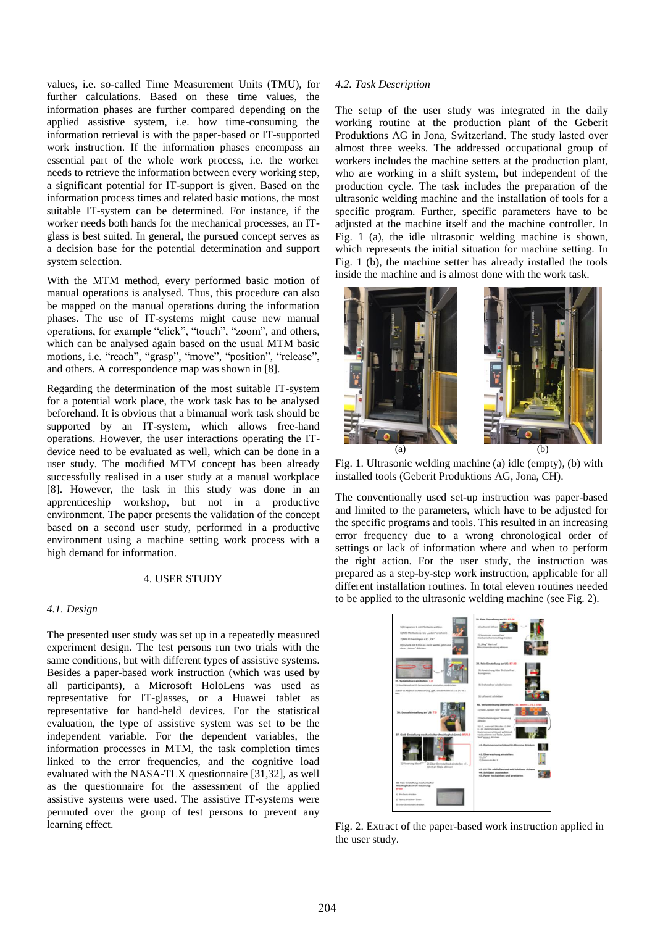values, i.e. so-called Time Measurement Units (TMU), for further calculations. Based on these time values, the information phases are further compared depending on the applied assistive system, i.e. how time-consuming the information retrieval is with the paper-based or IT-supported work instruction. If the information phases encompass an essential part of the whole work process, i.e. the worker needs to retrieve the information between every working step, a significant potential for IT-support is given. Based on the information process times and related basic motions, the most suitable IT-system can be determined. For instance, if the worker needs both hands for the mechanical processes, an ITglass is best suited. In general, the pursued concept serves as a decision base for the potential determination and support system selection.

With the MTM method, every performed basic motion of manual operations is analysed. Thus, this procedure can also be mapped on the manual operations during the information phases. The use of IT-systems might cause new manual operations, for example "click", "touch", "zoom", and others, which can be analysed again based on the usual MTM basic motions, i.e. "reach", "grasp", "move", "position", "release", and others. A correspondence map was shown in [8].

Regarding the determination of the most suitable IT-system for a potential work place, the work task has to be analysed beforehand. It is obvious that a bimanual work task should be supported by an IT-system, which allows free-hand operations. However, the user interactions operating the ITdevice need to be evaluated as well, which can be done in a user study. The modified MTM concept has been already successfully realised in a user study at a manual workplace [8]. However, the task in this study was done in an apprenticeship workshop, but not in a productive environment. The paper presents the validation of the concept based on a second user study, performed in a productive environment using a machine setting work process with a high demand for information.

# 4. USER STUDY

#### *4.1. Design*

The presented user study was set up in a repeatedly measured experiment design. The test persons run two trials with the same conditions, but with different types of assistive systems. Besides a paper-based work instruction (which was used by all participants), a Microsoft HoloLens was used as representative for IT-glasses, or a Huawei tablet as representative for hand-held devices. For the statistical evaluation, the type of assistive system was set to be the independent variable. For the dependent variables, the information processes in MTM, the task completion times linked to the error frequencies, and the cognitive load evaluated with the NASA-TLX questionnaire [31,32], as well as the questionnaire for the assessment of the applied assistive systems were used. The assistive IT-systems were permuted over the group of test persons to prevent any learning effect.

#### *4.2. Task Description*

The setup of the user study was integrated in the daily working routine at the production plant of the Geberit Produktions AG in Jona, Switzerland. The study lasted over almost three weeks. The addressed occupational group of workers includes the machine setters at the production plant, who are working in a shift system, but independent of the production cycle. The task includes the preparation of the ultrasonic welding machine and the installation of tools for a specific program. Further, specific parameters have to be adjusted at the machine itself and the machine controller. In [Fig.](#page-2-0) 1 (a), the idle ultrasonic welding machine is shown, which represents the initial situation for machine setting. In [Fig.](#page-2-0) 1 (b), the machine setter has already installed the tools inside the machine and is almost done with the work task.



Fig. 1. Ultrasonic welding machine (a) idle (empty), (b) with installed tools (Geberit Produktions AG, Jona, CH).

<span id="page-2-0"></span>The conventionally used set-up instruction was paper-based and limited to the parameters, which have to be adjusted for the specific programs and tools. This resulted in an increasing error frequency due to a wrong chronological order of settings or lack of information where and when to perform the right action. For the user study, the instruction was prepared as a step-by-step work instruction, applicable for all different installation routines. In total eleven routines needed to be applied to the ultrasonic welding machine (see [Fig.](#page-2-1) 2).

<span id="page-2-1"></span>

Fig. 2. Extract of the paper-based work instruction applied in the user study.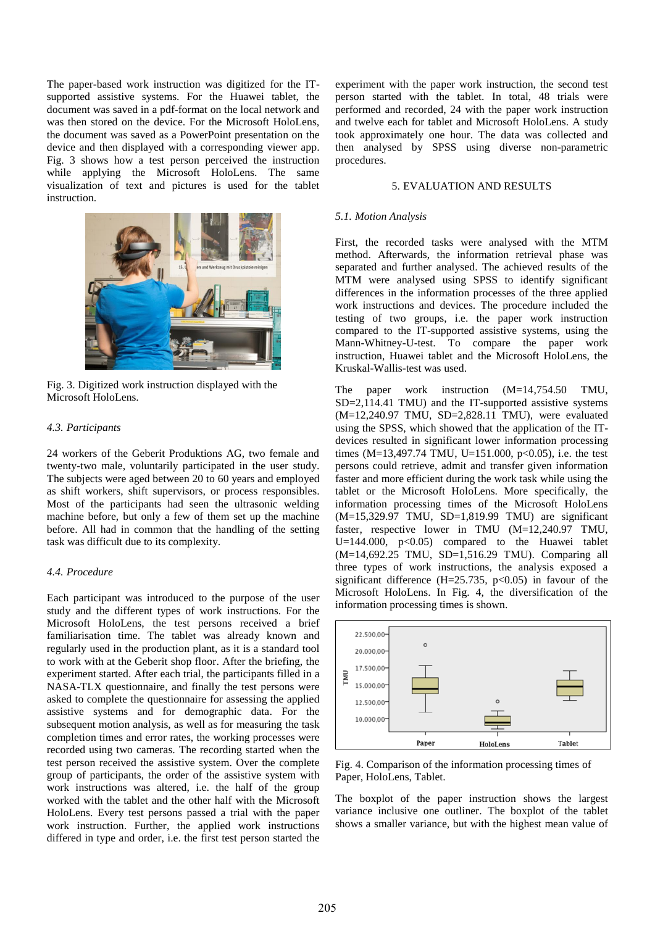The paper-based work instruction was digitized for the ITsupported assistive systems. For the Huawei tablet, the document was saved in a pdf-format on the local network and was then stored on the device. For the Microsoft HoloLens, the document was saved as a PowerPoint presentation on the device and then displayed with a corresponding viewer app. [Fig.](#page-3-0) 3 shows how a test person perceived the instruction while applying the Microsoft HoloLens. The same visualization of text and pictures is used for the tablet instruction.



Fig. 3. Digitized work instruction displayed with the Microsoft HoloLens.

#### <span id="page-3-0"></span>*4.3. Participants*

24 workers of the Geberit Produktions AG, two female and twenty-two male, voluntarily participated in the user study. The subjects were aged between 20 to 60 years and employed as shift workers, shift supervisors, or process responsibles. Most of the participants had seen the ultrasonic welding machine before, but only a few of them set up the machine before. All had in common that the handling of the setting task was difficult due to its complexity.

# *4.4. Procedure*

Each participant was introduced to the purpose of the user study and the different types of work instructions. For the Microsoft HoloLens, the test persons received a brief familiarisation time. The tablet was already known and regularly used in the production plant, as it is a standard tool to work with at the Geberit shop floor. After the briefing, the experiment started. After each trial, the participants filled in a NASA-TLX questionnaire, and finally the test persons were asked to complete the questionnaire for assessing the applied assistive systems and for demographic data. For the subsequent motion analysis, as well as for measuring the task completion times and error rates, the working processes were recorded using two cameras. The recording started when the test person received the assistive system. Over the complete group of participants, the order of the assistive system with work instructions was altered, i.e. the half of the group worked with the tablet and the other half with the Microsoft HoloLens. Every test persons passed a trial with the paper work instruction. Further, the applied work instructions differed in type and order, i.e. the first test person started the

experiment with the paper work instruction, the second test person started with the tablet. In total, 48 trials were performed and recorded, 24 with the paper work instruction and twelve each for tablet and Microsoft HoloLens. A study took approximately one hour. The data was collected and then analysed by SPSS using diverse non-parametric procedures.

#### 5. EVALUATION AND RESULTS

#### *5.1. Motion Analysis*

First, the recorded tasks were analysed with the MTM method. Afterwards, the information retrieval phase was separated and further analysed. The achieved results of the MTM were analysed using SPSS to identify significant differences in the information processes of the three applied work instructions and devices. The procedure included the testing of two groups, i.e. the paper work instruction compared to the IT-supported assistive systems, using the Mann-Whitney-U-test. To compare the paper work instruction, Huawei tablet and the Microsoft HoloLens, the Kruskal-Wallis-test was used.

The paper work instruction  $(M=14,754.50$  TMU, SD=2,114.41 TMU) and the IT-supported assistive systems (M=12,240.97 TMU, SD=2,828.11 TMU), were evaluated using the SPSS, which showed that the application of the ITdevices resulted in significant lower information processing times (M=13,497.74 TMU, U=151.000, p<0.05), i.e. the test persons could retrieve, admit and transfer given information faster and more efficient during the work task while using the tablet or the Microsoft HoloLens. More specifically, the information processing times of the Microsoft HoloLens (M=15,329.97 TMU, SD=1,819.99 TMU) are significant faster, respective lower in TMU (M=12,240.97 TMU, U=144.000, p<0.05) compared to the Huawei tablet (M=14,692.25 TMU, SD=1,516.29 TMU). Comparing all three types of work instructions, the analysis exposed a significant difference (H=25.735,  $p<0.05$ ) in favour of the Microsoft HoloLens. In [Fig.](#page-3-1) 4, the diversification of the information processing times is shown.



<span id="page-3-1"></span>Fig. 4. Comparison of the information processing times of Paper, HoloLens, Tablet.

The boxplot of the paper instruction shows the largest variance inclusive one outliner. The boxplot of the tablet shows a smaller variance, but with the highest mean value of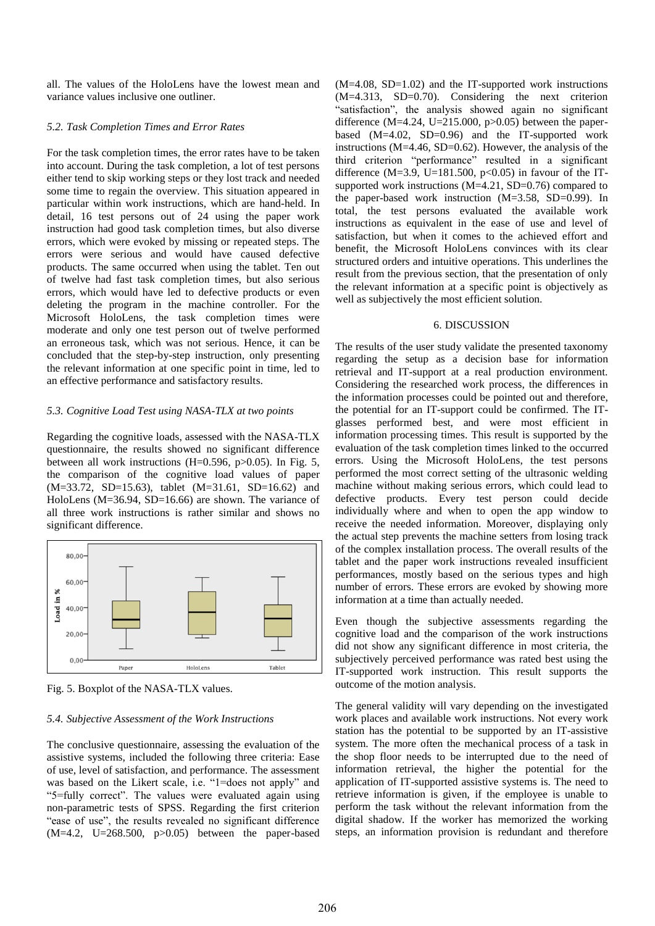all. The values of the HoloLens have the lowest mean and variance values inclusive one outliner.

#### *5.2. Task Completion Times and Error Rates*

For the task completion times, the error rates have to be taken into account. During the task completion, a lot of test persons either tend to skip working steps or they lost track and needed some time to regain the overview. This situation appeared in particular within work instructions, which are hand-held. In detail, 16 test persons out of 24 using the paper work instruction had good task completion times, but also diverse errors, which were evoked by missing or repeated steps. The errors were serious and would have caused defective products. The same occurred when using the tablet. Ten out of twelve had fast task completion times, but also serious errors, which would have led to defective products or even deleting the program in the machine controller. For the Microsoft HoloLens, the task completion times were moderate and only one test person out of twelve performed an erroneous task, which was not serious. Hence, it can be concluded that the step-by-step instruction, only presenting the relevant information at one specific point in time, led to an effective performance and satisfactory results.

## *5.3. Cognitive Load Test using NASA-TLX at two points*

Regarding the cognitive loads, assessed with the NASA-TLX questionnaire, the results showed no significant difference between all work instructions (H=0.596, p>0.05). In [Fig.](#page-4-0) 5, the comparison of the cognitive load values of paper (M=33.72, SD=15.63), tablet (M=31.61, SD=16.62) and HoloLens (M=36.94, SD=16.66) are shown. The variance of all three work instructions is rather similar and shows no significant difference.



<span id="page-4-0"></span>Fig. 5. Boxplot of the NASA-TLX values.

#### *5.4. Subjective Assessment of the Work Instructions*

The conclusive questionnaire, assessing the evaluation of the assistive systems, included the following three criteria: Ease of use, level of satisfaction, and performance. The assessment was based on the Likert scale, i.e. "1=does not apply" and "5=fully correct". The values were evaluated again using non-parametric tests of SPSS. Regarding the first criterion "ease of use", the results revealed no significant difference  $(M=4.2, U=268.500, p>0.05)$  between the paper-based (M=4.08, SD=1.02) and the IT-supported work instructions (M=4.313, SD=0.70). Considering the next criterion "satisfaction", the analysis showed again no significant difference (M=4.24, U=215.000, p>0.05) between the paperbased (M=4.02, SD=0.96) and the IT-supported work instructions (M=4.46, SD=0.62). However, the analysis of the third criterion "performance" resulted in a significant difference (M=3.9, U=181.500,  $p<0.05$ ) in favour of the ITsupported work instructions (M=4.21, SD=0.76) compared to the paper-based work instruction (M=3.58, SD=0.99). In total, the test persons evaluated the available work instructions as equivalent in the ease of use and level of satisfaction, but when it comes to the achieved effort and benefit, the Microsoft HoloLens convinces with its clear structured orders and intuitive operations. This underlines the result from the previous section, that the presentation of only the relevant information at a specific point is objectively as well as subjectively the most efficient solution.

#### 6. DISCUSSION

The results of the user study validate the presented taxonomy regarding the setup as a decision base for information retrieval and IT-support at a real production environment. Considering the researched work process, the differences in the information processes could be pointed out and therefore, the potential for an IT-support could be confirmed. The ITglasses performed best, and were most efficient in information processing times. This result is supported by the evaluation of the task completion times linked to the occurred errors. Using the Microsoft HoloLens, the test persons performed the most correct setting of the ultrasonic welding machine without making serious errors, which could lead to defective products. Every test person could decide individually where and when to open the app window to receive the needed information. Moreover, displaying only the actual step prevents the machine setters from losing track of the complex installation process. The overall results of the tablet and the paper work instructions revealed insufficient performances, mostly based on the serious types and high number of errors. These errors are evoked by showing more information at a time than actually needed.

Even though the subjective assessments regarding the cognitive load and the comparison of the work instructions did not show any significant difference in most criteria, the subjectively perceived performance was rated best using the IT-supported work instruction. This result supports the outcome of the motion analysis.

The general validity will vary depending on the investigated work places and available work instructions. Not every work station has the potential to be supported by an IT-assistive system. The more often the mechanical process of a task in the shop floor needs to be interrupted due to the need of information retrieval, the higher the potential for the application of IT-supported assistive systems is. The need to retrieve information is given, if the employee is unable to perform the task without the relevant information from the digital shadow. If the worker has memorized the working steps, an information provision is redundant and therefore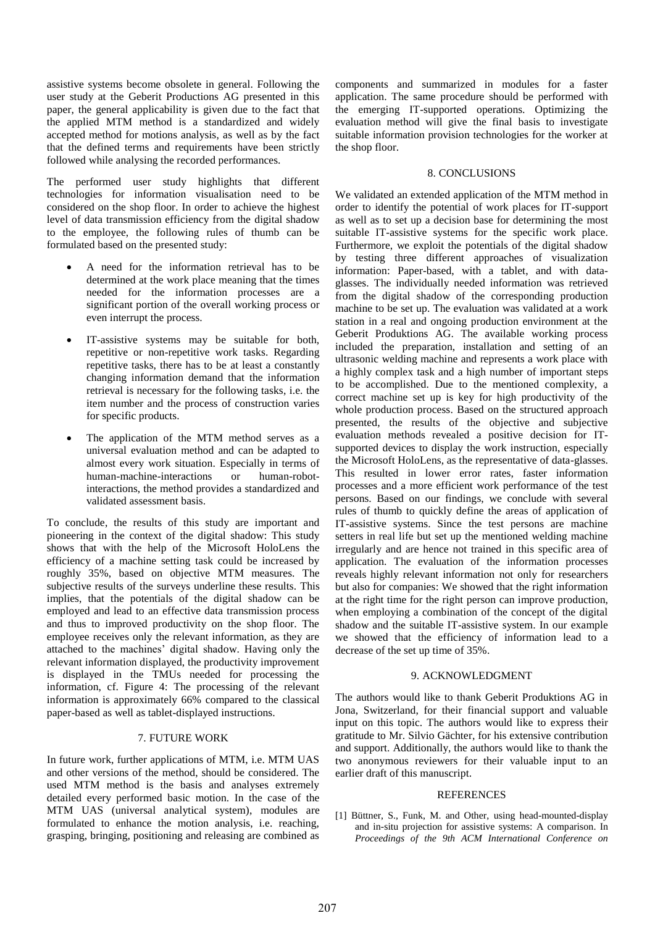assistive systems become obsolete in general. Following the user study at the Geberit Productions AG presented in this paper, the general applicability is given due to the fact that the applied MTM method is a standardized and widely accepted method for motions analysis, as well as by the fact that the defined terms and requirements have been strictly followed while analysing the recorded performances.

The performed user study highlights that different technologies for information visualisation need to be considered on the shop floor. In order to achieve the highest level of data transmission efficiency from the digital shadow to the employee, the following rules of thumb can be formulated based on the presented study:

- A need for the information retrieval has to be determined at the work place meaning that the times needed for the information processes are a significant portion of the overall working process or even interrupt the process.
- IT-assistive systems may be suitable for both, repetitive or non-repetitive work tasks. Regarding repetitive tasks, there has to be at least a constantly changing information demand that the information retrieval is necessary for the following tasks, i.e. the item number and the process of construction varies for specific products.
- The application of the MTM method serves as a universal evaluation method and can be adapted to almost every work situation. Especially in terms of human-machine-interactions or human-robotinteractions, the method provides a standardized and validated assessment basis.

To conclude, the results of this study are important and pioneering in the context of the digital shadow: This study shows that with the help of the Microsoft HoloLens the efficiency of a machine setting task could be increased by roughly 35%, based on objective MTM measures. The subjective results of the surveys underline these results. This implies, that the potentials of the digital shadow can be employed and lead to an effective data transmission process and thus to improved productivity on the shop floor. The employee receives only the relevant information, as they are attached to the machines' digital shadow. Having only the relevant information displayed, the productivity improvement is displayed in the TMUs needed for processing the information, cf. Figure 4: The processing of the relevant information is approximately 66% compared to the classical paper-based as well as tablet-displayed instructions.

## 7. FUTURE WORK

In future work, further applications of MTM, i.e. MTM UAS and other versions of the method, should be considered. The used MTM method is the basis and analyses extremely detailed every performed basic motion. In the case of the MTM UAS (universal analytical system), modules are formulated to enhance the motion analysis, i.e. reaching, grasping, bringing, positioning and releasing are combined as

components and summarized in modules for a faster application. The same procedure should be performed with the emerging IT-supported operations. Optimizing the evaluation method will give the final basis to investigate suitable information provision technologies for the worker at the shop floor.

#### 8. CONCLUSIONS

We validated an extended application of the MTM method in order to identify the potential of work places for IT-support as well as to set up a decision base for determining the most suitable IT-assistive systems for the specific work place. Furthermore, we exploit the potentials of the digital shadow by testing three different approaches of visualization information: Paper-based, with a tablet, and with dataglasses. The individually needed information was retrieved from the digital shadow of the corresponding production machine to be set up. The evaluation was validated at a work station in a real and ongoing production environment at the Geberit Produktions AG. The available working process included the preparation, installation and setting of an ultrasonic welding machine and represents a work place with a highly complex task and a high number of important steps to be accomplished. Due to the mentioned complexity, a correct machine set up is key for high productivity of the whole production process. Based on the structured approach presented, the results of the objective and subjective evaluation methods revealed a positive decision for ITsupported devices to display the work instruction, especially the Microsoft HoloLens, as the representative of data-glasses. This resulted in lower error rates, faster information processes and a more efficient work performance of the test persons. Based on our findings, we conclude with several rules of thumb to quickly define the areas of application of IT-assistive systems. Since the test persons are machine setters in real life but set up the mentioned welding machine irregularly and are hence not trained in this specific area of application. The evaluation of the information processes reveals highly relevant information not only for researchers but also for companies: We showed that the right information at the right time for the right person can improve production, when employing a combination of the concept of the digital shadow and the suitable IT-assistive system. In our example we showed that the efficiency of information lead to a decrease of the set up time of 35%.

#### 9. ACKNOWLEDGMENT

The authors would like to thank Geberit Produktions AG in Jona, Switzerland, for their financial support and valuable input on this topic. The authors would like to express their gratitude to Mr. Silvio Gächter, for his extensive contribution and support. Additionally, the authors would like to thank the two anonymous reviewers for their valuable input to an earlier draft of this manuscript.

#### **REFERENCES**

[1] Büttner, S., Funk, M. and Other, using head-mounted-display and in-situ projection for assistive systems: A comparison. In *Proceedings of the 9th ACM International Conference on*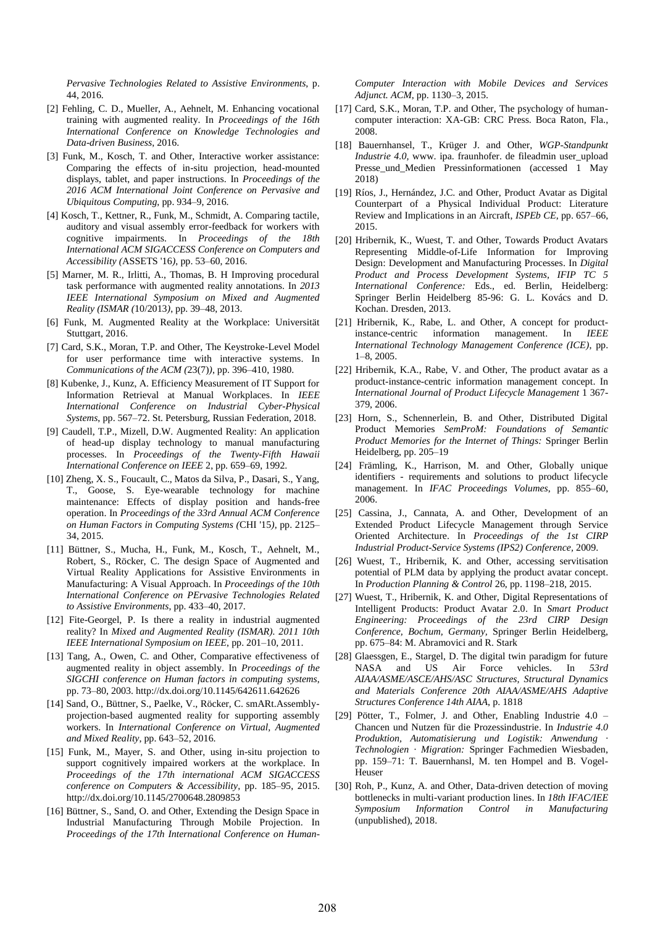*Pervasive Technologies Related to Assistive Environments*, p. 44, 2016.

- [2] Fehling, C. D., Mueller, A., Aehnelt, M. Enhancing vocational training with augmented reality. In *Proceedings of the 16th International Conference on Knowledge Technologies and Data-driven Business*, 2016.
- [3] Funk, M., Kosch, T. and Other, Interactive worker assistance: Comparing the effects of in-situ projection, head-mounted displays, tablet, and paper instructions. In *Proceedings of the 2016 ACM International Joint Conference on Pervasive and Ubiquitous Computing*, pp. 934–9, 2016.
- [4] Kosch, T., Kettner, R., Funk, M., Schmidt, A. Comparing tactile, auditory and visual assembly error-feedback for workers with cognitive impairments. In *Proceedings of the 18th International ACM SIGACCESS Conference on Computers and Accessibility (*ASSETS '16*)*, pp. 53–60, 2016.
- [5] Marner, M. R., Irlitti, A., Thomas, B. H Improving procedural task performance with augmented reality annotations. In *2013 IEEE International Symposium on Mixed and Augmented Reality (ISMAR (*10/2013*)*, pp. 39–48, 2013.
- [6] Funk, M. Augmented Reality at the Workplace: Universität Stuttgart, 2016.
- [7] Card, S.K., Moran, T.P. and Other, The Keystroke-Level Model for user performance time with interactive systems. In *Communications of the ACM (*23(7)*)*, pp. 396–410, 1980.
- [8] Kubenke, J., Kunz, A. Efficiency Measurement of IT Support for Information Retrieval at Manual Workplaces. In *IEEE International Conference on Industrial Cyber-Physical Systems*, pp. 567–72. St. Petersburg, Russian Federation, 2018.
- [9] Caudell, T.P., Mizell, D.W. Augmented Reality: An application of head-up display technology to manual manufacturing processes. In *Proceedings of the Twenty-Fifth Hawaii International Conference on IEEE* 2, pp. 659–69, 1992.
- [10] Zheng, X. S., Foucault, C., Matos da Silva, P., Dasari, S., Yang, T., Goose, S. Eye-wearable technology for machine maintenance: Effects of display position and hands-free operation. In *Proceedings of the 33rd Annual ACM Conference on Human Factors in Computing Systems (*CHI '15*)*, pp. 2125– 34, 2015.
- [11] Büttner, S., Mucha, H., Funk, M., Kosch, T., Aehnelt, M., Robert, S., Röcker, C. The design Space of Augmented and Virtual Reality Applications for Assistive Environments in Manufacturing: A Visual Approach. In *Proceedings of the 10th International Conference on PErvasive Technologies Related to Assistive Environments*, pp. 433–40, 2017.
- [12] Fite-Georgel, P. Is there a reality in industrial augmented reality? In *Mixed and Augmented Reality (ISMAR). 2011 10th IEEE International Symposium on IEEE*, pp. 201–10, 2011.
- [13] Tang, A., Owen, C. and Other, Comparative effectiveness of augmented reality in object assembly. In *Proceedings of the SIGCHI conference on Human factors in computing systems*, pp. 73–80, 2003. http://dx.doi.org/10.1145/642611.642626
- [14] Sand, O., Büttner, S., Paelke, V., Röcker, C. smARt.Assemblyprojection-based augmented reality for supporting assembly workers. In *International Conference on Virtual, Augmented and Mixed Reality*, pp. 643–52, 2016.
- [15] Funk, M., Mayer, S. and Other, using in-situ projection to support cognitively impaired workers at the workplace. In *Proceedings of the 17th international ACM SIGACCESS conference on Computers & Accessibility*, pp. 185–95, 2015. http://dx.doi.org/10.1145/2700648.2809853
- [16] Büttner, S., Sand, O. and Other, Extending the Design Space in Industrial Manufacturing Through Mobile Projection. In *Proceedings of the 17th International Conference on Human-*

*Computer Interaction with Mobile Devices and Services Adjunct. ACM*, pp. 1130–3, 2015.

- [17] Card, S.K., Moran, T.P. and Other, The psychology of humancomputer interaction: XA-GB: CRC Press. Boca Raton, Fla., 2008.
- [18] Bauernhansel, T., Krüger J. and Other, *WGP-Standpunkt Industrie 4.0,* www. ipa. fraunhofer. de fileadmin user\_upload Presse\_und\_Medien Pressinformationen (accessed 1 May 2018)
- [19] Ríos, J., Hernández, J.C. and Other, Product Avatar as Digital Counterpart of a Physical Individual Product: Literature Review and Implications in an Aircraft, *ISPEb CE*, pp. 657–66, 2015.
- [20] Hribernik, K., Wuest, T. and Other, Towards Product Avatars Representing Middle-of-Life Information for Improving Design: Development and Manufacturing Processes. In *Digital Product and Process Development Systems, IFIP TC 5 International Conference:* Eds., ed. Berlin, Heidelberg: Springer Berlin Heidelberg 85-96: G. L. Kovács and D. Kochan. Dresden, 2013.
- [21] Hribernik, K., Rabe, L. and Other, A concept for productinstance-centric information management. In *IEEE International Technology Management Conference (ICE)*, pp. 1–8, 2005.
- [22] Hribernik, K.A., Rabe, V. and Other, The product avatar as a product-instance-centric information management concept. In *International Journal of Product Lifecycle Management* 1 367- 379, 2006.
- [23] Horn, S., Schennerlein, B. and Other, Distributed Digital Product Memories *SemProM: Foundations of Semantic Product Memories for the Internet of Things:* Springer Berlin Heidelberg, pp. 205–19
- [24] Främling, K., Harrison, M. and Other, Globally unique identifiers - requirements and solutions to product lifecycle management. In *IFAC Proceedings Volumes*, pp. 855–60, 2006.
- [25] Cassina, J., Cannata, A. and Other, Development of an Extended Product Lifecycle Management through Service Oriented Architecture. In *Proceedings of the 1st CIRP Industrial Product-Service Systems (IPS2) Conference,* 2009.
- [26] Wuest, T., Hribernik, K. and Other, accessing servitisation potential of PLM data by applying the product avatar concept. In *Production Planning & Control* 26, pp. 1198–218, 2015.
- [27] Wuest, T., Hribernik, K. and Other, Digital Representations of Intelligent Products: Product Avatar 2.0. In *Smart Product Engineering: Proceedings of the 23rd CIRP Design Conference, Bochum, Germany,* Springer Berlin Heidelberg, pp. 675–84: M. Abramovici and R. Stark
- [28] Glaessgen, E., Stargel, D. The digital twin paradigm for future NASA and US Air Force vehicles. In *53rd AIAA/ASME/ASCE/AHS/ASC Structures, Structural Dynamics and Materials Conference 20th AIAA/ASME/AHS Adaptive Structures Conference 14th AIAA*, p. 1818
- [29] Pötter, T., Folmer, J. and Other, Enabling Industrie 4.0 Chancen und Nutzen für die Prozessindustrie. In *Industrie 4.0 Produktion, Automatisierung und Logistik: Anwendung · Technologien · Migration:* Springer Fachmedien Wiesbaden, pp. 159–71: T. Bauernhansl, M. ten Hompel and B. Vogel-Heuser
- [30] Roh, P., Kunz, A. and Other, Data-driven detection of moving bottlenecks in multi-variant production lines. In *18th IFAC/IEE Symposium Information Control in Manufacturing* (unpublished), 2018.